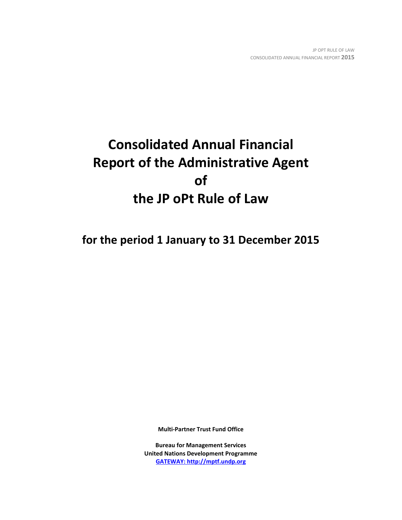# **Consolidated Annual Financial Report of the Administrative Agent of the JP oPt Rule of Law**

**for the period 1 January to 31 December 2015**

**Multi-Partner Trust Fund Office**

**Bureau for Management Services United Nations Development Programme [GATEWAY: http://mptf.undp.org](http://mptf.undp.org/)**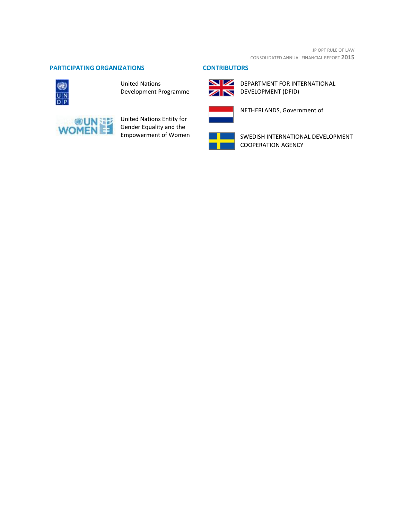#### **PARTICIPATING ORGANIZATIONS CONTRIBUTORS**



United Nations Development Programme



United Nations Entity for Gender Equality and the Empowerment of Women





**NEW DEPARTMENT FOR INTERNATIONAL** DEVELOPMENT (DFID)



NETHERLANDS, Government of



SWEDISH INTERNATIONAL DEVELOPMENT COOPERATION AGENCY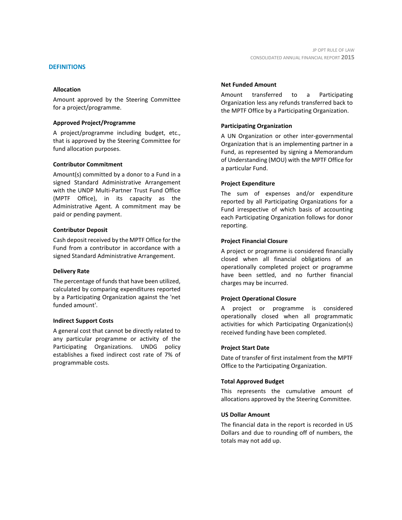#### **DEFINITIONS**

#### **Allocation**

Amount approved by the Steering Committee for a project/programme.

#### **Approved Project/Programme**

A project/programme including budget, etc., that is approved by the Steering Committee for fund allocation purposes.

#### **Contributor Commitment**

Amount(s) committed by a donor to a Fund in a signed Standard Administrative Arrangement with the UNDP Multi-Partner Trust Fund Office (MPTF Office), in its capacity as the Administrative Agent. A commitment may be paid or pending payment.

#### **Contributor Deposit**

Cash deposit received by the MPTF Office for the Fund from a contributor in accordance with a signed Standard Administrative Arrangement.

#### **Delivery Rate**

The percentage of funds that have been utilized, calculated by comparing expenditures reported by a Participating Organization against the 'net funded amount'.

#### **Indirect Support Costs**

A general cost that cannot be directly related to any particular programme or activity of the Participating Organizations. UNDG policy establishes a fixed indirect cost rate of 7% of programmable costs.

#### **Net Funded Amount**

Amount transferred to a Participating Organization less any refunds transferred back to the MPTF Office by a Participating Organization.

#### **Participating Organization**

A UN Organization or other inter-governmental Organization that is an implementing partner in a Fund, as represented by signing a Memorandum of Understanding (MOU) with the MPTF Office for a particular Fund.

#### **Project Expenditure**

The sum of expenses and/or expenditure reported by all Participating Organizations for a Fund irrespective of which basis of accounting each Participating Organization follows for donor reporting.

#### **Project Financial Closure**

A project or programme is considered financially closed when all financial obligations of an operationally completed project or programme have been settled, and no further financial charges may be incurred.

#### **Project Operational Closure**

A project or programme is considered operationally closed when all programmatic activities for which Participating Organization(s) received funding have been completed.

#### **Project Start Date**

Date of transfer of first instalment from the MPTF Office to the Participating Organization.

#### **Total Approved Budget**

This represents the cumulative amount of allocations approved by the Steering Committee.

#### **US Dollar Amount**

The financial data in the report is recorded in US Dollars and due to rounding off of numbers, the totals may not add up.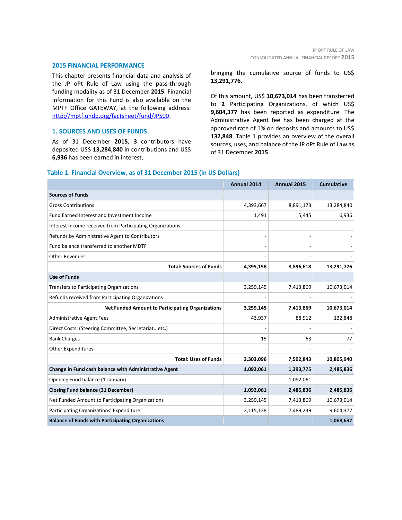#### **2015 FINANCIAL PERFORMANCE**

This chapter presents financial data and analysis of the JP oPt Rule of Law using the pass-through funding modality as of 31 December **2015**. Financial information for this Fund is also available on the MPTF Office GATEWAY, at the following address: [http://mptf.undp.org/factsheet/fund/JPS00.](http://mptf.undp.org/factsheet/fund/JPS00)

#### **1. SOURCES AND USES OF FUNDS**

As of 31 December **2015**, **3** contributors have deposited US\$ **13,284,840** in contributions and US\$ **6,936** has been earned in interest,

#### bringing the cumulative source of funds to US\$ **13,291,776.**

Of this amount, US\$ **10,673,014** has been transferred to **2** Participating Organizations, of which US\$ **9,604,377** has been reported as expenditure. The Administrative Agent fee has been charged at the approved rate of 1% on deposits and amounts to US\$ **132,848**. Table 1 provides an overview of the overall sources, uses, and balance of the JP oPt Rule of Law as of 31 December **2015**.

## **Annual 2014 Annual 2015 Cumulative Sources of Funds** Gross Contributions **6.891,173** 13,284,840 Fund Earned Interest and Investment Income 1,491 1,491 5,445 6,936 Interest Income received from Participating Organizations - - - Refunds by Administrative Agent to Contributors and the state of the state of the state of the state of the state of the state of the state of the state of the state of the state of the state of the state of the state of t Fund balance transferred to another MDTF Other Revenues - - - **Total: Sources of Funds 4,395,158 8,896,618 13,291,776 Use of Funds** Transfers to Participating Organizations 10.673,014 10,673,014 10,673,014 10,673,014 Refunds received from Participating Organizations **Net Funded Amount to Participating Organizations 3,259,145 7,413,869 10,673,014** Administrative Agent Fees **Administrative Agent Fees** 43,937 **88,912** 132,848 Direct Costs: (Steering Committee, Secretariat...etc.) Bank Charges  $\begin{array}{ccc} 63 & 77 \end{array}$ Other Expenditures **Total: Uses of Funds 3,303,096 7,502,843 10,805,940 Change in Fund cash balance with Administrative Agent 1,092,061 1,393,775 2,485,836** Opening Fund balance (1 January) and the set of the set of the set of the set of the set of the set of the set of the set of the set of the set of the set of the set of the set of the set of the set of the set of the set o **Closing Fund balance (31 December) 1,092,061 2,485,836 2,485,836** Net Funded Amount to Participating Organizations 1990 10,673,014 3,259,145 7,413,869 10,673,014 Participating Organizations' Expenditure 2,115,138 7,489,239 9,604,377 **Balance of Funds with Participating Organizations 1,068,637**

#### **Table 1. Financial Overview, as of 31 December 2015 (in US Dollars)**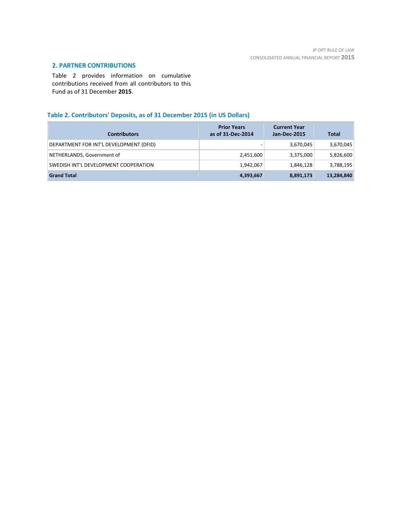## **2. PARTNER CONTRIBUTIONS**

Table 2 provides information on cumulative contributions received from all contributors to this Fund as of 31 December **2015**.

## **Table 2. Contributors' Deposits, as of 31 December 2015 (in US Dollars)**

| <b>Contributors</b>                     | <b>Prior Years</b><br>as of 31-Dec-2014 | <b>Current Year</b><br>Jan-Dec-2015 | Total      |
|-----------------------------------------|-----------------------------------------|-------------------------------------|------------|
| DEPARTMENT FOR INT'L DEVELOPMENT (DFID) |                                         | 3,670,045                           | 3,670,045  |
| NETHERLANDS, Government of              | 2,451,600                               | 3,375,000                           | 5,826,600  |
| SWEDISH INT'L DEVELOPMENT COOPERATION   | 1,942,067                               | 1,846,128                           | 3,788,195  |
| <b>Grand Total</b>                      | 4,393,667                               | 8,891,173                           | 13,284,840 |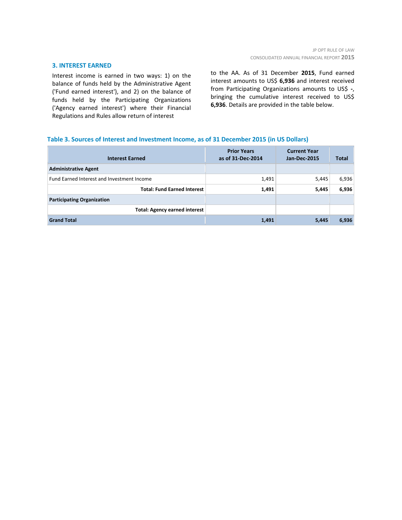#### **3. INTEREST EARNED**

Interest income is earned in two ways: 1) on the balance of funds held by the Administrative Agent ('Fund earned interest'), and 2) on the balance of funds held by the Participating Organizations ('Agency earned interest') where their Financial Regulations and Rules allow return of interest

to the AA. As of 31 December **2015**, Fund earned interest amounts to US\$ **6,936** and interest received from Participating Organizations amounts to US\$ **-**, bringing the cumulative interest received to US\$ **6,936**. Details are provided in the table below.

#### **Table 3. Sources of Interest and Investment Income, as of 31 December 2015 (in US Dollars)**

| <b>Interest Earned</b>                     | <b>Prior Years</b><br>as of 31-Dec-2014 | <b>Current Year</b><br>Jan-Dec-2015 | <b>Total</b> |
|--------------------------------------------|-----------------------------------------|-------------------------------------|--------------|
| <b>Administrative Agent</b>                |                                         |                                     |              |
| Fund Earned Interest and Investment Income | 1,491                                   | 5,445                               | 6,936        |
| <b>Total: Fund Earned Interest</b>         | 1,491                                   | 5,445                               | 6,936        |
| <b>Participating Organization</b>          |                                         |                                     |              |
| <b>Total: Agency earned interest</b>       |                                         |                                     |              |
| <b>Grand Total</b>                         | 1,491                                   | 5,445                               | 6,936        |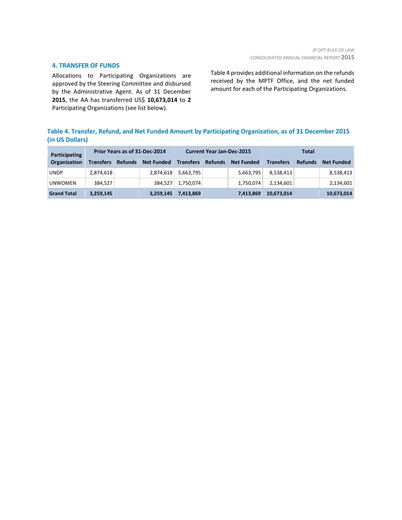#### **4. TRANSFER OF FUNDS**

Allocations to Participating Organizations are approved by the Steering Committee and disbursed by the Administrative Agent. As of 31 December **2015**, the AA has transferred US\$ **10,673,014** to **2** Participating Organizations (see list below).

Table 4 provides additional information on the refunds received by the MPTF Office, and the net funded amount for each of the Participating Organizations.

## **Table 4. Transfer, Refund, and Net Funded Amount by Participating Organization, as of 31 December 2015 (in US Dollars)**

| Participating      | Prior Years as of 31-Dec-2014 |                | <b>Current Year Jan-Dec-2015</b> |                  |                | Total             |                  |                |                   |
|--------------------|-------------------------------|----------------|----------------------------------|------------------|----------------|-------------------|------------------|----------------|-------------------|
| Organization       | <b>Transfers</b>              | <b>Refunds</b> | <b>Net Funded</b>                | <b>Transfers</b> | <b>Refunds</b> | <b>Net Funded</b> | <b>Transfers</b> | <b>Refunds</b> | <b>Net Funded</b> |
| <b>UNDP</b>        | 2,874,618                     |                | 2,874,618                        | 5,663,795        |                | 5,663,795         | 8,538,413        |                | 8,538,413         |
| <b>UNWOMEN</b>     | 384.527                       |                | 384,527                          | 1,750,074        |                | 1,750,074         | 2,134,601        |                | 2,134,601         |
| <b>Grand Total</b> | 3,259,145                     |                | 3,259,145                        | 7,413,869        |                | 7,413,869         | 10,673,014       |                | 10,673,014        |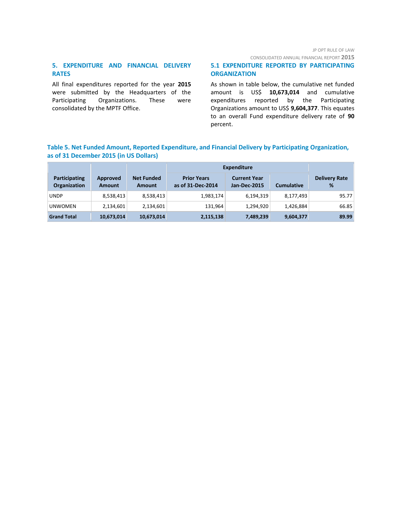#### JP OPT RULE OF LAW

CONSOLIDATED ANNUAL FINANCIAL REPORT **2015**

## **5. EXPENDITURE AND FINANCIAL DELIVERY RATES**

All final expenditures reported for the year **2015** were submitted by the Headquarters of the Participating Organizations. These were consolidated by the MPTF Office.

## **5.1 EXPENDITURE REPORTED BY PARTICIPATING ORGANIZATION**

As shown in table below, the cumulative net funded amount is US\$ **10,673,014** and cumulative expenditures reported by the Participating Organizations amount to US\$ **9,604,377**. This equates to an overall Fund expenditure delivery rate of **90** percent.

## **Table 5. Net Funded Amount, Reported Expenditure, and Financial Delivery by Participating Organization, as of 31 December 2015 (in US Dollars)**

|                                      |                           |                                    | <b>Expenditure</b>                      |                                            |                   |                           |  |
|--------------------------------------|---------------------------|------------------------------------|-----------------------------------------|--------------------------------------------|-------------------|---------------------------|--|
| Participating<br><b>Organization</b> | Approved<br><b>Amount</b> | <b>Net Funded</b><br><b>Amount</b> | <b>Prior Years</b><br>as of 31-Dec-2014 | <b>Current Year</b><br><b>Jan-Dec-2015</b> | <b>Cumulative</b> | <b>Delivery Rate</b><br>% |  |
| <b>UNDP</b>                          | 8,538,413                 | 8,538,413                          | 1,983,174                               | 6,194,319                                  | 8,177,493         | 95.77                     |  |
| <b>UNWOMEN</b>                       | 2,134,601                 | 2,134,601                          | 131.964                                 | 1,294,920                                  | 1,426,884         | 66.85                     |  |
| <b>Grand Total</b>                   | 10,673,014                | 10,673,014                         | 2,115,138                               | 7,489,239                                  | 9,604,377         | 89.99                     |  |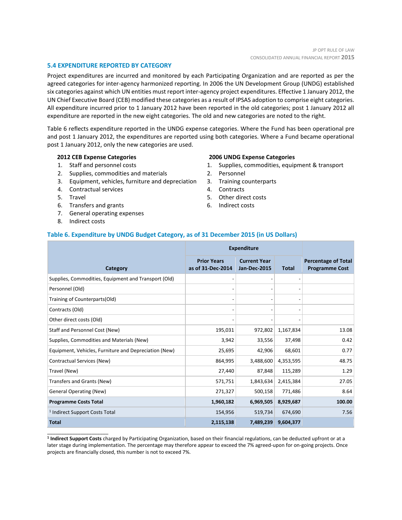#### **5.4 EXPENDITURE REPORTED BY CATEGORY**

Project expenditures are incurred and monitored by each Participating Organization and are reported as per the agreed categories for inter-agency harmonized reporting. In 2006 the UN Development Group (UNDG) established six categories against which UN entities must report inter-agency project expenditures. Effective 1 January 2012, the UN Chief Executive Board (CEB) modified these categories as a result of IPSAS adoption to comprise eight categories. All expenditure incurred prior to 1 January 2012 have been reported in the old categories; post 1 January 2012 all expenditure are reported in the new eight categories. The old and new categories are noted to the right.

Table 6 reflects expenditure reported in the UNDG expense categories. Where the Fund has been operational pre and post 1 January 2012, the expenditures are reported using both categories. Where a Fund became operational post 1 January 2012, only the new categories are used.

#### **2012 CEB Expense Categories**

- 1. Staff and personnel costs
- 2. Supplies, commodities and materials
- 3. Equipment, vehicles, furniture and depreciation
- 4. Contractual services
- 5. Travel
- 6. Transfers and grants
- 7. General operating expenses
- 8. Indirect costs

\_\_\_\_\_\_\_\_\_\_\_\_\_\_\_\_\_\_\_\_\_\_

#### **2006 UNDG Expense Categories**

- 1. Supplies, commodities, equipment & transport
- 2. Personnel
- 3. Training counterparts
- 4. Contracts
- 5. Other direct costs
- 6. Indirect costs

#### **Table 6. Expenditure by UNDG Budget Category, as of 31 December 2015 (in US Dollars)**

|                                                       | <b>Expenditure</b>                      |                                            |                          |                                                     |
|-------------------------------------------------------|-----------------------------------------|--------------------------------------------|--------------------------|-----------------------------------------------------|
| Category                                              | <b>Prior Years</b><br>as of 31-Dec-2014 | <b>Current Year</b><br><b>Jan-Dec-2015</b> | <b>Total</b>             | <b>Percentage of Total</b><br><b>Programme Cost</b> |
| Supplies, Commodities, Equipment and Transport (Old)  |                                         | $\overline{\phantom{a}}$                   | $\overline{\phantom{a}}$ |                                                     |
| Personnel (Old)                                       |                                         | $\overline{\phantom{0}}$                   |                          |                                                     |
| Training of Counterparts(Old)                         |                                         |                                            |                          |                                                     |
| Contracts (Old)                                       |                                         |                                            |                          |                                                     |
| Other direct costs (Old)                              |                                         |                                            |                          |                                                     |
| Staff and Personnel Cost (New)                        | 195,031                                 | 972,802                                    | 1,167,834                | 13.08                                               |
| Supplies, Commodities and Materials (New)             | 3,942                                   | 33,556                                     | 37,498                   | 0.42                                                |
| Equipment, Vehicles, Furniture and Depreciation (New) | 25,695                                  | 42,906                                     | 68,601                   | 0.77                                                |
| Contractual Services (New)                            | 864,995                                 | 3,488,600                                  | 4,353,595                | 48.75                                               |
| Travel (New)                                          | 27,440                                  | 87,848                                     | 115,289                  | 1.29                                                |
| Transfers and Grants (New)                            | 571,751                                 | 1,843,634                                  | 2,415,384                | 27.05                                               |
| <b>General Operating (New)</b>                        | 271,327                                 | 500,158                                    | 771,486                  | 8.64                                                |
| <b>Programme Costs Total</b>                          | 1,960,182                               | 6,969,505                                  | 8,929,687                | 100.00                                              |
| <sup>1</sup> Indirect Support Costs Total             | 154,956                                 | 519,734                                    | 674,690                  | 7.56                                                |
| <b>Total</b>                                          | 2,115,138                               | 7,489,239                                  | 9,604,377                |                                                     |

**1 Indirect Support Costs** charged by Participating Organization, based on their financial regulations, can be deducted upfront or at a later stage during implementation. The percentage may therefore appear to exceed the 7% agreed-upon for on-going projects. Once projects are financially closed, this number is not to exceed 7%.